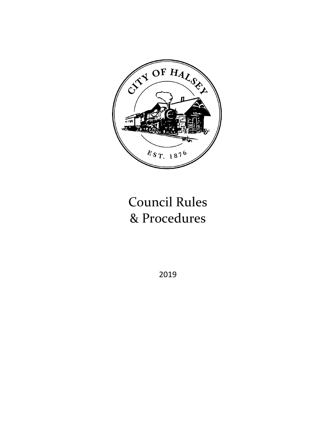

# Council Rules & Procedures

2019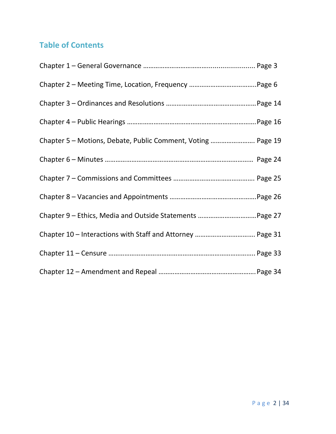# **Table of Contents**

| Chapter 5 - Motions, Debate, Public Comment, Voting  Page 19 |  |
|--------------------------------------------------------------|--|
|                                                              |  |
|                                                              |  |
|                                                              |  |
|                                                              |  |
|                                                              |  |
|                                                              |  |
|                                                              |  |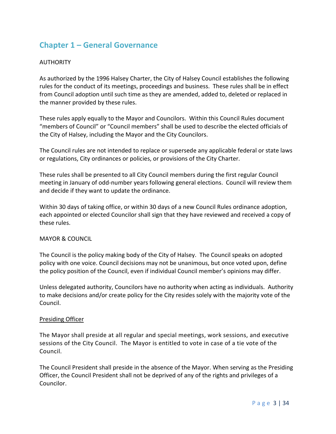# **Chapter 1 – General Governance**

# AUTHORITY

As authorized by the 1996 Halsey Charter, the City of Halsey Council establishes the following rules for the conduct of its meetings, proceedings and business. These rules shall be in effect from Council adoption until such time as they are amended, added to, deleted or replaced in the manner provided by these rules.

These rules apply equally to the Mayor and Councilors. Within this Council Rules document "members of Council" or "Council members" shall be used to describe the elected officials of the City of Halsey, including the Mayor and the City Councilors.

The Council rules are not intended to replace or supersede any applicable federal or state laws or regulations, City ordinances or policies, or provisions of the City Charter.

These rules shall be presented to all City Council members during the first regular Council meeting in January of odd-number years following general elections. Council will review them and decide if they want to update the ordinance.

Within 30 days of taking office, or within 30 days of a new Council Rules ordinance adoption, each appointed or elected Councilor shall sign that they have reviewed and received a copy of these rules.

# MAYOR & COUNCIL

The Council is the policy making body of the City of Halsey. The Council speaks on adopted policy with one voice. Council decisions may not be unanimous, but once voted upon, define the policy position of the Council, even if individual Council member's opinions may differ.

Unless delegated authority, Councilors have no authority when acting as individuals. Authority to make decisions and/or create policy for the City resides solely with the majority vote of the Council.

# Presiding Officer

The Mayor shall preside at all regular and special meetings, work sessions, and executive sessions of the City Council. The Mayor is entitled to vote in case of a tie vote of the Council.

The Council President shall preside in the absence of the Mayor. When serving as the Presiding Officer, the Council President shall not be deprived of any of the rights and privileges of a Councilor.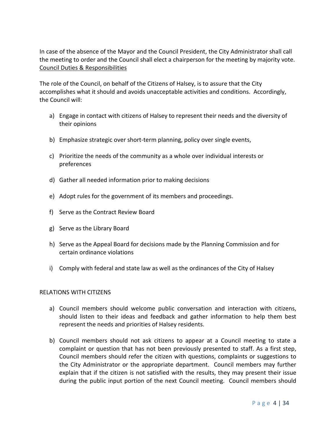In case of the absence of the Mayor and the Council President, the City Administrator shall call the meeting to order and the Council shall elect a chairperson for the meeting by majority vote. Council Duties & Responsibilities

The role of the Council, on behalf of the Citizens of Halsey, is to assure that the City accomplishes what it should and avoids unacceptable activities and conditions. Accordingly, the Council will:

- a) Engage in contact with citizens of Halsey to represent their needs and the diversity of their opinions
- b) Emphasize strategic over short-term planning, policy over single events,
- c) Prioritize the needs of the community as a whole over individual interests or preferences
- d) Gather all needed information prior to making decisions
- e) Adopt rules for the government of its members and proceedings.
- f) Serve as the Contract Review Board
- g) Serve as the Library Board
- h) Serve as the Appeal Board for decisions made by the Planning Commission and for certain ordinance violations
- i) Comply with federal and state law as well as the ordinances of the City of Halsey

# RELATIONS WITH CITIZENS

- a) Council members should welcome public conversation and interaction with citizens, should listen to their ideas and feedback and gather information to help them best represent the needs and priorities of Halsey residents.
- b) Council members should not ask citizens to appear at a Council meeting to state a complaint or question that has not been previously presented to staff. As a first step, Council members should refer the citizen with questions, complaints or suggestions to the City Administrator or the appropriate department. Council members may further explain that if the citizen is not satisfied with the results, they may present their issue during the public input portion of the next Council meeting. Council members should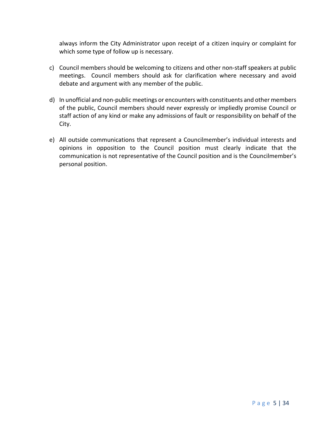always inform the City Administrator upon receipt of a citizen inquiry or complaint for which some type of follow up is necessary.

- c) Council members should be welcoming to citizens and other non-staff speakers at public meetings. Council members should ask for clarification where necessary and avoid debate and argument with any member of the public.
- d) In unofficial and non-public meetings or encounters with constituents and other members of the public, Council members should never expressly or impliedly promise Council or staff action of any kind or make any admissions of fault or responsibility on behalf of the City.
- e) All outside communications that represent a Councilmember's individual interests and opinions in opposition to the Council position must clearly indicate that the communication is not representative of the Council position and is the Councilmember's personal position.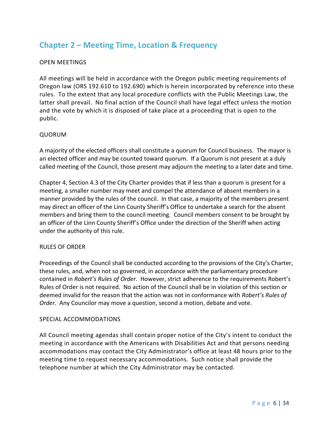# **Chapter 2 – Meeting Time, Location & Frequency**

# OPEN MEETINGS

All meetings will be held in accordance with the Oregon public meeting requirements of Oregon law (ORS 192.610 to 192.690) which is herein incorporated by reference into these rules. To the extent that any local procedure conflicts with the Public Meetings Law, the latter shall prevail. No final action of the Council shall have legal effect unless the motion and the vote by which it is disposed of take place at a proceeding that is open to the public.

# QUORUM

A majority of the elected officers shall constitute a quorum for Council business. The mayor is an elected officer and may be counted toward quorum. If a Quorum is not present at a duly called meeting of the Council, those present may adjourn the meeting to a later date and time.

Chapter 4, Section 4.3 of the City Charter provides that if less than a quorum is present for a meeting, a smaller number may meet and compel the attendance of absent members in a manner provided by the rules of the council. In that case, a majority of the members present may direct an officer of the Linn County Sheriff's Office to undertake a search for the absent members and bring them to the council meeting. Council members consent to be brought by an officer of the Linn County Sheriff's Office under the direction of the Sheriff when acting under the authority of this rule.

# RULES OF ORDER

Proceedings of the Council shall be conducted according to the provisions of the City's Charter, these rules, and, when not so governed, in accordance with the parliamentary procedure contained in *Robert's Rules of Order*. However, strict adherence to the requirements Robert's Rules of Order is not required. No action of the Council shall be in violation of this section or deemed invalid for the reason that the action was not in conformance with *Robert's Rules of Order*. Any Councilor may move a question, second a motion, debate and vote.

# SPECIAL ACCOMMODATIONS

All Council meeting agendas shall contain proper notice of the City's intent to conduct the meeting in accordance with the Americans with Disabilities Act and that persons needing accommodations may contact the City Administrator's office at least 48 hours prior to the meeting time to request necessary accommodations. Such notice shall provide the telephone number at which the City Administrator may be contacted.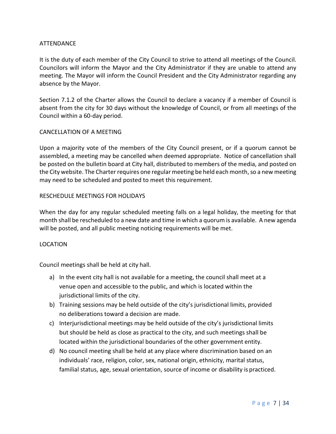# ATTENDANCE

It is the duty of each member of the City Council to strive to attend all meetings of the Council. Councilors will inform the Mayor and the City Administrator if they are unable to attend any meeting. The Mayor will inform the Council President and the City Administrator regarding any absence by the Mayor.

Section 7.1.2 of the Charter allows the Council to declare a vacancy if a member of Council is absent from the city for 30 days without the knowledge of Council, or from all meetings of the Council within a 60-day period.

#### CANCELLATION OF A MEETING

Upon a majority vote of the members of the City Council present, or if a quorum cannot be assembled, a meeting may be cancelled when deemed appropriate. Notice of cancellation shall be posted on the bulletin board at City hall, distributed to members of the media, and posted on the City website. The Charter requires one regular meeting be held each month, so a new meeting may need to be scheduled and posted to meet this requirement.

# RESCHEDULE MEETINGS FOR HOLIDAYS

When the day for any regular scheduled meeting falls on a legal holiday, the meeting for that month shall be rescheduled to a new date and time in which a quorum is available. A new agenda will be posted, and all public meeting noticing requirements will be met.

# LOCATION

Council meetings shall be held at city hall.

- a) In the event city hall is not available for a meeting, the council shall meet at a venue open and accessible to the public, and which is located within the jurisdictional limits of the city.
- b) Training sessions may be held outside of the city's jurisdictional limits, provided no deliberations toward a decision are made.
- c) Interjurisdictional meetings may be held outside of the city's jurisdictional limits but should be held as close as practical to the city, and such meetings shall be located within the jurisdictional boundaries of the other government entity.
- d) No council meeting shall be held at any place where discrimination based on an individuals' race, religion, color, sex, national origin, ethnicity, marital status, familial status, age, sexual orientation, source of income or disability is practiced.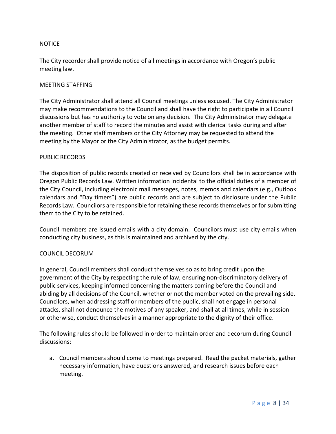# **NOTICE**

The City recorder shall provide notice of all meetingsin accordance with Oregon's public meeting law.

# MEETING STAFFING

The City Administrator shall attend all Council meetings unless excused. The City Administrator may make recommendations to the Council and shall have the right to participate in all Council discussions but has no authority to vote on any decision. The City Administrator may delegate another member of staff to record the minutes and assist with clerical tasks during and after the meeting. Other staff members or the City Attorney may be requested to attend the meeting by the Mayor or the City Administrator, as the budget permits.

#### PUBLIC RECORDS

The disposition of public records created or received by Councilors shall be in accordance with Oregon Public Records Law. Written information incidental to the official duties of a member of the City Council, including electronic mail messages, notes, memos and calendars (e.g., Outlook calendars and "Day timers") are public records and are subject to disclosure under the Public Records Law. Councilors are responsible for retaining these records themselves or for submitting them to the City to be retained.

Council members are issued emails with a city domain. Councilors must use city emails when conducting city business, as this is maintained and archived by the city.

# COUNCIL DECORUM

In general, Council members shall conduct themselves so as to bring credit upon the government of the City by respecting the rule of law, ensuring non-discriminatory delivery of public services, keeping informed concerning the matters coming before the Council and abiding by all decisions of the Council, whether or not the member voted on the prevailing side. Councilors, when addressing staff or members of the public, shall not engage in personal attacks, shall not denounce the motives of any speaker, and shall at all times, while in session or otherwise, conduct themselves in a manner appropriate to the dignity of their office.

The following rules should be followed in order to maintain order and decorum during Council discussions:

a. Council members should come to meetings prepared. Read the packet materials, gather necessary information, have questions answered, and research issues before each meeting.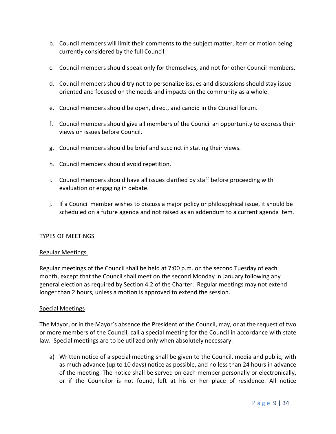- b. Council members will limit their comments to the subject matter, item or motion being currently considered by the full Council
- c. Council members should speak only for themselves, and not for other Council members.
- d. Council members should try not to personalize issues and discussions should stay issue oriented and focused on the needs and impacts on the community as a whole.
- e. Council members should be open, direct, and candid in the Council forum.
- f. Council members should give all members of the Council an opportunity to express their views on issues before Council.
- g. Council members should be brief and succinct in stating their views.
- h. Council members should avoid repetition.
- i. Council members should have all issues clarified by staff before proceeding with evaluation or engaging in debate.
- j. If a Council member wishes to discuss a major policy or philosophical issue, it should be scheduled on a future agenda and not raised as an addendum to a current agenda item.

# TYPES OF MEETINGS

# Regular Meetings

Regular meetings of the Council shall be held at 7:00 p.m. on the second Tuesday of each month, except that the Council shall meet on the second Monday in January following any general election as required by Section 4.2 of the Charter. Regular meetings may not extend longer than 2 hours, unless a motion is approved to extend the session.

# Special Meetings

The Mayor, or in the Mayor's absence the President of the Council, may, or at the request of two or more members of the Council, call a special meeting for the Council in accordance with state law. Special meetings are to be utilized only when absolutely necessary.

a) Written notice of a special meeting shall be given to the Council, media and public, with as much advance (up to 10 days) notice as possible, and no less than 24 hours in advance of the meeting. The notice shall be served on each member personally or electronically, or if the Councilor is not found, left at his or her place of residence. All notice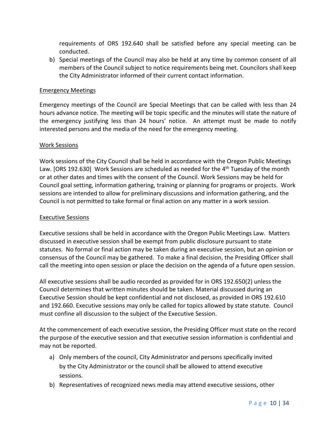requirements of ORS 192.640 shall be satisfied before any special meeting can be conducted.

b) Special meetings of the Council may also be held at any time by common consent of all members of the Council subject to notice requirements being met. Councilors shall keep the City Administrator informed of their current contact information.

# Emergency Meetings

Emergency meetings of the Council are Special Meetings that can be called with less than 24 hours advance notice. The meeting will be topic specific and the minutes will state the nature of the emergency justifying less than 24 hours' notice. An attempt must be made to notify interested persons and the media of the need for the emergency meeting.

# Work Sessions

Work sessions of the City Council shall be held in accordance with the Oregon Public Meetings Law. [ORS 192.630] Work Sessions are scheduled as needed for the  $4<sup>th</sup>$  Tuesday of the month or at other dates and times with the consent of the Council. Work Sessions may be held for Council goal setting, information gathering, training or planning for programs or projects. Work sessions are intended to allow for preliminary discussions and information gathering, and the Council is not permitted to take formal or final action on any matter in a work session.

# Executive Sessions

Executive sessions shall be held in accordance with the Oregon Public Meetings Law. Matters discussed in executive session shall be exempt from public disclosure pursuant to state statutes. No formal or final action may be taken during an executive session, but an opinion or consensus of the Council may be gathered. To make a final decision, the Presiding Officer shall call the meeting into open session or place the decision on the agenda of a future open session.

All executive sessions shall be audio recorded as provided for in ORS 192.650(2) unless the Council determines that written minutes should be taken. Material discussed during an Executive Session should be kept confidential and not disclosed, as provided in ORS 192.610 and 192.660. Executive sessions may only be called for topics allowed by state statute. Council must confine all discussion to the subject of the Executive Session.

At the commencement of each executive session, the Presiding Officer must state on the record the purpose of the executive session and that executive session information is confidential and may not be reported.

- a) Only members of the council, City Administrator and persons specifically invited by the City Administrator or the council shall be allowed to attend executive sessions.
- b) Representatives of recognized news media may attend executive sessions, other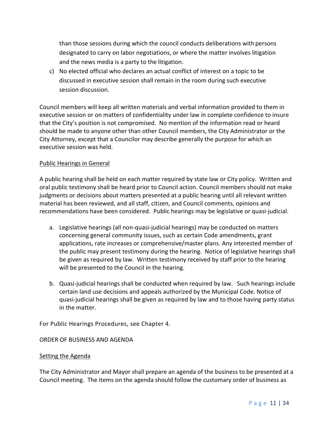than those sessions during which the council conducts deliberations with persons designated to carry on labor negotiations, or where the matter involves litigation and the news media is a party to the litigation.

c) No elected official who declares an actual conflict of interest on a topic to be discussed in executive session shall remain in the room during such executive session discussion.

Council members will keep all written materials and verbal information provided to them in executive session or on matters of confidentiality under law in complete confidence to insure that the City's position is not compromised. No mention of the information read or heard should be made to anyone other than other Council members, the City Administrator or the City Attorney, except that a Councilor may describe generally the purpose for which an executive session was held.

# Public Hearings in General

A public hearing shall be held on each matter required by state law or City policy. Written and oral public testimony shall be heard prior to Council action. Council members should not make judgments or decisions about matters presented at a public hearing until all relevant written material has been reviewed, and all staff, citizen, and Council comments, opinions and recommendations have been considered. Public hearings may be legislative or quasi-judicial.

- a. Legislative hearings (all non-quasi-judicial hearings) may be conducted on matters concerning general community issues, such as certain Code amendments, grant applications, rate increases or comprehensive/master plans. Any interested member of the public may present testimony during the hearing. Notice of legislative hearings shall be given as required by law. Written testimony received by staff prior to the hearing will be presented to the Council in the hearing.
- b. Quasi-judicial hearings shall be conducted when required by law. Such hearings include certain land use decisions and appeals authorized by the Municipal Code. Notice of quasi-judicial hearings shall be given as required by law and to those having party status in the matter.

For Public Hearings Procedures, see Chapter 4.

# ORDER OF BUSINESS AND AGENDA

# Setting the Agenda

The City Administrator and Mayor shall prepare an agenda of the business to be presented at a Council meeting. The items on the agenda should follow the customary order of business as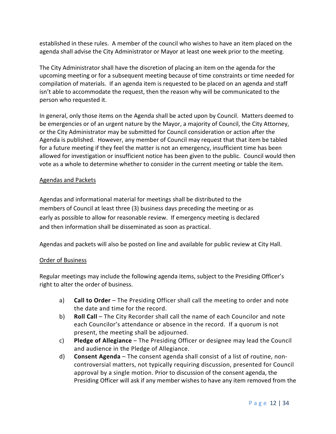established in these rules. A member of the council who wishes to have an item placed on the agenda shall advise the City Administrator or Mayor at least one week prior to the meeting.

The City Administrator shall have the discretion of placing an item on the agenda for the upcoming meeting or for a subsequent meeting because of time constraints or time needed for compilation of materials. If an agenda item is requested to be placed on an agenda and staff isn't able to accommodate the request, then the reason why will be communicated to the person who requested it.

In general, only those items on the Agenda shall be acted upon by Council. Matters deemed to be emergencies or of an urgent nature by the Mayor, a majority of Council, the City Attorney, or the City Administrator may be submitted for Council consideration or action after the Agenda is published. However, any member of Council may request that that item be tabled for a future meeting if they feel the matter is not an emergency, insufficient time has been allowed for investigation or insufficient notice has been given to the public. Council would then vote as a whole to determine whether to consider in the current meeting or table the item.

# Agendas and Packets

Agendas and informational material for meetings shall be distributed to the members of Council at least three (3) business days preceding the meeting or as early as possible to allow for reasonable review. If emergency meeting is declared and then information shall be disseminated as soon as practical.

Agendas and packets will also be posted on line and available for public review at City Hall.

# Order of Business

Regular meetings may include the following agenda items, subject to the Presiding Officer's right to alter the order of business.

- a) **Call to Order** The Presiding Officer shall call the meeting to order and note the date and time for the record.
- b) **Roll Call** The City Recorder shall call the name of each Councilor and note each Councilor's attendance or absence in the record. If a quorum is not present, the meeting shall be adjourned.
- c) **Pledge of Allegiance** The Presiding Officer or designee may lead the Council and audience in the Pledge of Allegiance.
- d) **Consent Agenda** The consent agenda shall consist of a list of routine, noncontroversial matters, not typically requiring discussion, presented for Council approval by a single motion. Prior to discussion of the consent agenda, the Presiding Officer will ask if any member wishes to have any item removed from the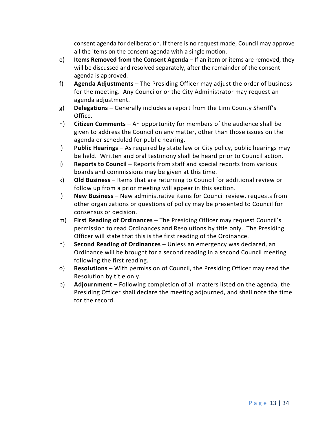consent agenda for deliberation. If there is no request made, Council may approve all the items on the consent agenda with a single motion.

- e) **Items Removed from the Consent Agenda** If an item or items are removed, they will be discussed and resolved separately, after the remainder of the consent agenda is approved.
- f) **Agenda Adjustments** The Presiding Officer may adjust the order of business for the meeting. Any Councilor or the City Administrator may request an agenda adjustment.
- g) **Delegations**  Generally includes a report from the Linn County Sheriff's Office.
- h) **Citizen Comments** An opportunity for members of the audience shall be given to address the Council on any matter, other than those issues on the agenda or scheduled for public hearing.
- i) **Public Hearings** As required by state law or City policy, public hearings may be held. Written and oral testimony shall be heard prior to Council action.
- j) **Reports to Council** Reports from staff and special reports from various boards and commissions may be given at this time.
- k) **Old Business** Items that are returning to Council for additional review or follow up from a prior meeting will appear in this section.
- l) **New Business** New administrative items for Council review, requests from other organizations or questions of policy may be presented to Council for consensus or decision.
- m) **First Reading of Ordinances** The Presiding Officer may request Council's permission to read Ordinances and Resolutions by title only. The Presiding Officer will state that this is the first reading of the Ordinance.
- n) **Second Reading of Ordinances** Unless an emergency was declared, an Ordinance will be brought for a second reading in a second Council meeting following the first reading.
- o) **Resolutions** With permission of Council, the Presiding Officer may read the Resolution by title only.
- p) **Adjournment** Following completion of all matters listed on the agenda, the Presiding Officer shall declare the meeting adjourned, and shall note the time for the record.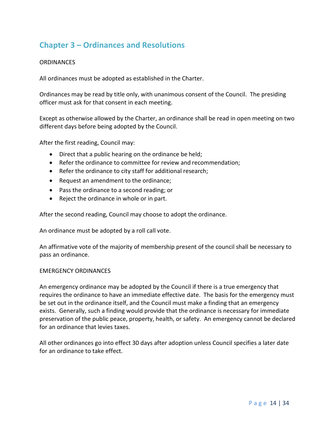# **Chapter 3 – Ordinances and Resolutions**

# **ORDINANCES**

All ordinances must be adopted as established in the Charter.

Ordinances may be read by title only, with unanimous consent of the Council. The presiding officer must ask for that consent in each meeting.

Except as otherwise allowed by the Charter, an ordinance shall be read in open meeting on two different days before being adopted by the Council.

After the first reading, Council may:

- Direct that a public hearing on the ordinance be held;
- Refer the ordinance to committee for review and recommendation;
- Refer the ordinance to city staff for additional research;
- Request an amendment to the ordinance;
- Pass the ordinance to a second reading; or
- Reject the ordinance in whole or in part.

After the second reading, Council may choose to adopt the ordinance.

An ordinance must be adopted by a roll call vote.

An affirmative vote of the majority of membership present of the council shall be necessary to pass an ordinance.

#### EMERGENCY ORDINANCES

An emergency ordinance may be adopted by the Council if there is a true emergency that requires the ordinance to have an immediate effective date. The basis for the emergency must be set out in the ordinance itself, and the Council must make a finding that an emergency exists. Generally, such a finding would provide that the ordinance is necessary for immediate preservation of the public peace, property, health, or safety. An emergency cannot be declared for an ordinance that levies taxes.

All other ordinances go into effect 30 days after adoption unless Council specifies a later date for an ordinance to take effect.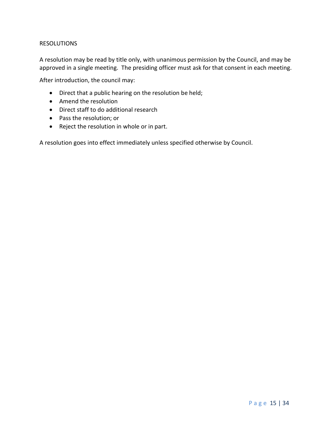# RESOLUTIONS

A resolution may be read by title only, with unanimous permission by the Council, and may be approved in a single meeting. The presiding officer must ask for that consent in each meeting.

After introduction, the council may:

- Direct that a public hearing on the resolution be held;
- Amend the resolution
- Direct staff to do additional research
- Pass the resolution; or
- Reject the resolution in whole or in part.

A resolution goes into effect immediately unless specified otherwise by Council.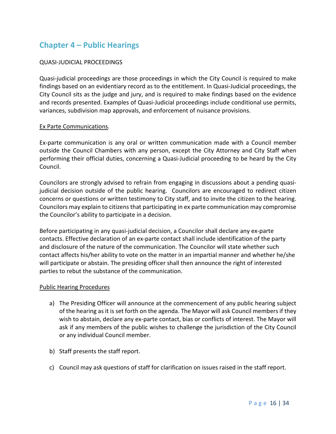# **Chapter 4 – Public Hearings**

# QUASI-JUDICIAL PROCEEDINGS

Quasi-judicial proceedings are those proceedings in which the City Council is required to make findings based on an evidentiary record as to the entitlement. In Quasi-Judicial proceedings, the City Council sits as the judge and jury, and is required to make findings based on the evidence and records presented. Examples of Quasi-Judicial proceedings include conditional use permits, variances, subdivision map approvals, and enforcement of nuisance provisions.

# Ex Parte Communications.

Ex-parte communication is any oral or written communication made with a Council member outside the Council Chambers with any person, except the City Attorney and City Staff when performing their official duties, concerning a Quasi-Judicial proceeding to be heard by the City Council.

Councilors are strongly advised to refrain from engaging in discussions about a pending quasijudicial decision outside of the public hearing. Councilors are encouraged to redirect citizen concerns or questions or written testimony to City staff, and to invite the citizen to the hearing. Councilors may explain to citizens that participating in ex parte communication may compromise the Councilor's ability to participate in a decision.

Before participating in any quasi-judicial decision, a Councilor shall declare any ex-parte contacts. Effective declaration of an ex-parte contact shall include identification of the party and disclosure of the nature of the communication. The Councilor will state whether such contact affects his/her ability to vote on the matter in an impartial manner and whether he/she will participate or abstain. The presiding officer shall then announce the right of interested parties to rebut the substance of the communication.

# Public Hearing Procedures

- a) The Presiding Officer will announce at the commencement of any public hearing subject of the hearing as it is set forth on the agenda. The Mayor will ask Council members if they wish to abstain, declare any ex-parte contact, bias or conflicts of interest. The Mayor will ask if any members of the public wishes to challenge the jurisdiction of the City Council or any individual Council member.
- b) Staff presents the staff report.
- c) Council may ask questions of staff for clarification on issues raised in the staff report.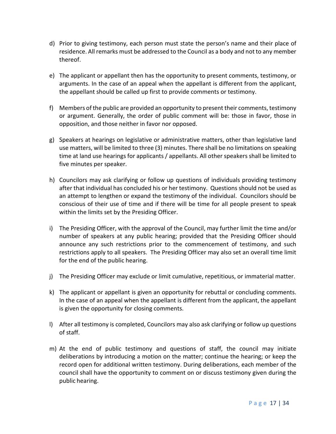- d) Prior to giving testimony, each person must state the person's name and their place of residence. All remarks must be addressed to the Council as a body and not to any member thereof.
- e) The applicant or appellant then has the opportunity to present comments, testimony, or arguments. In the case of an appeal when the appellant is different from the applicant, the appellant should be called up first to provide comments or testimony.
- f) Members of the public are provided an opportunity to present their comments, testimony or argument. Generally, the order of public comment will be: those in favor, those in opposition, and those neither in favor nor opposed.
- g) Speakers at hearings on legislative or administrative matters, other than legislative land use matters, will be limited to three (3) minutes. There shall be no limitations on speaking time at land use hearings for applicants / appellants. All other speakers shall be limited to five minutes per speaker.
- h) Councilors may ask clarifying or follow up questions of individuals providing testimony after that individual has concluded his or her testimony. Questions should not be used as an attempt to lengthen or expand the testimony of the individual. Councilors should be conscious of their use of time and if there will be time for all people present to speak within the limits set by the Presiding Officer.
- i) The Presiding Officer, with the approval of the Council, may further limit the time and/or number of speakers at any public hearing; provided that the Presiding Officer should announce any such restrictions prior to the commencement of testimony, and such restrictions apply to all speakers. The Presiding Officer may also set an overall time limit for the end of the public hearing.
- j) The Presiding Officer may exclude or limit cumulative, repetitious, or immaterial matter.
- k) The applicant or appellant is given an opportunity for rebuttal or concluding comments. In the case of an appeal when the appellant is different from the applicant, the appellant is given the opportunity for closing comments.
- l) After all testimony is completed, Councilors may also ask clarifying or follow up questions of staff.
- m) At the end of public testimony and questions of staff, the council may initiate deliberations by introducing a motion on the matter; continue the hearing; or keep the record open for additional written testimony. During deliberations, each member of the council shall have the opportunity to comment on or discuss testimony given during the public hearing.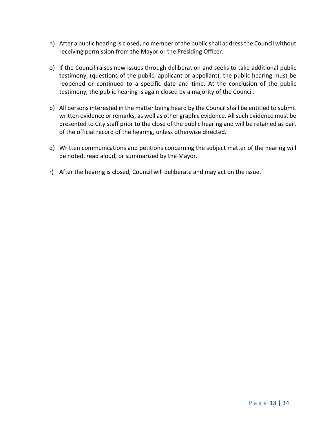- n) After a public hearing is closed, no member of the public shall address the Council without receiving permission from the Mayor or the Presiding Officer.
- o) If the Council raises new issues through deliberation and seeks to take additional public testimony, (questions of the public, applicant or appellant), the public hearing must be reopened or continued to a specific date and time. At the conclusion of the public testimony, the public hearing is again closed by a majority of the Council.
- p) All persons interested in the matter being heard by the Council shall be entitled to submit written evidence or remarks, as well as other graphic evidence. All such evidence must be presented to City staff prior to the close of the public hearing and will be retained as part of the official record of the hearing, unless otherwise directed.
- q) Written communications and petitions concerning the subject matter of the hearing will be noted, read aloud, or summarized by the Mayor.
- r) After the hearing is closed, Council will deliberate and may act on the issue.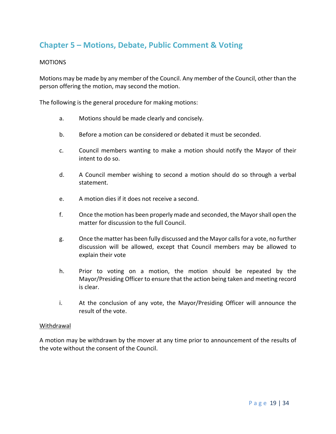# **Chapter 5 – Motions, Debate, Public Comment & Voting**

# MOTIONS

Motions may be made by any member of the Council. Any member of the Council, other than the person offering the motion, may second the motion.

The following is the general procedure for making motions:

- a. Motions should be made clearly and concisely.
- b. Before a motion can be considered or debated it must be seconded.
- c. Council members wanting to make a motion should notify the Mayor of their intent to do so.
- d. A Council member wishing to second a motion should do so through a verbal statement.
- e. A motion dies if it does not receive a second.
- f. Once the motion has been properly made and seconded, the Mayor shall open the matter for discussion to the full Council.
- g. Once the matter has been fully discussed and the Mayor calls for a vote, no further discussion will be allowed, except that Council members may be allowed to explain their vote
- h. Prior to voting on a motion, the motion should be repeated by the Mayor/Presiding Officer to ensure that the action being taken and meeting record is clear.
- i. At the conclusion of any vote, the Mayor/Presiding Officer will announce the result of the vote.

#### Withdrawal

A motion may be withdrawn by the mover at any time prior to announcement of the results of the vote without the consent of the Council.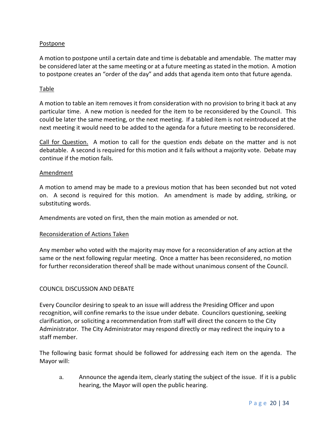# Postpone

A motion to postpone until a certain date and time is debatable and amendable. The matter may be considered later at the same meeting or at a future meeting as stated in the motion. A motion to postpone creates an "order of the day" and adds that agenda item onto that future agenda.

# Table

A motion to table an item removes it from consideration with no provision to bring it back at any particular time. A new motion is needed for the item to be reconsidered by the Council. This could be later the same meeting, or the next meeting. If a tabled item is not reintroduced at the next meeting it would need to be added to the agenda for a future meeting to be reconsidered.

Call for Question. A motion to call for the question ends debate on the matter and is not debatable. A second is required for this motion and it fails without a majority vote. Debate may continue if the motion fails.

# Amendment

A motion to amend may be made to a previous motion that has been seconded but not voted on. A second is required for this motion. An amendment is made by adding, striking, or substituting words.

Amendments are voted on first, then the main motion as amended or not.

# Reconsideration of Actions Taken

Any member who voted with the majority may move for a reconsideration of any action at the same or the next following regular meeting. Once a matter has been reconsidered, no motion for further reconsideration thereof shall be made without unanimous consent of the Council.

#### COUNCIL DISCUSSION AND DEBATE

Every Councilor desiring to speak to an issue will address the Presiding Officer and upon recognition, will confine remarks to the issue under debate. Councilors questioning, seeking clarification, or soliciting a recommendation from staff will direct the concern to the City Administrator. The City Administrator may respond directly or may redirect the inquiry to a staff member.

The following basic format should be followed for addressing each item on the agenda. The Mayor will:

a. Announce the agenda item, clearly stating the subject of the issue. If it is a public hearing, the Mayor will open the public hearing.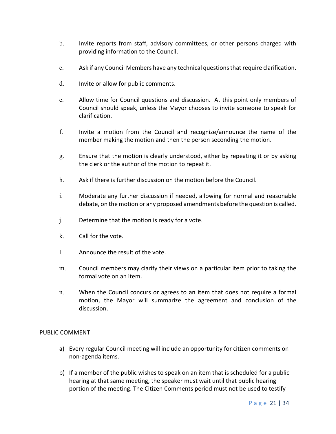- b. Invite reports from staff, advisory committees, or other persons charged with providing information to the Council.
- c. Ask if any Council Members have any technical questions that require clarification.
- d. Invite or allow for public comments.
- e. Allow time for Council questions and discussion. At this point only members of Council should speak, unless the Mayor chooses to invite someone to speak for clarification.
- f. Invite a motion from the Council and recognize/announce the name of the member making the motion and then the person seconding the motion.
- g. Ensure that the motion is clearly understood, either by repeating it or by asking the clerk or the author of the motion to repeat it.
- h. Ask if there is further discussion on the motion before the Council.
- i. Moderate any further discussion if needed, allowing for normal and reasonable debate, on the motion or any proposed amendments before the question is called.
- j. Determine that the motion is ready for a vote.
- k. Call for the vote.
- l. Announce the result of the vote.
- m. Council members may clarify their views on a particular item prior to taking the formal vote on an item.
- n. When the Council concurs or agrees to an item that does not require a formal motion, the Mayor will summarize the agreement and conclusion of the discussion.

# PUBLIC COMMENT

- a) Every regular Council meeting will include an opportunity for citizen comments on non-agenda items.
- b) If a member of the public wishes to speak on an item that is scheduled for a public hearing at that same meeting, the speaker must wait until that public hearing portion of the meeting. The Citizen Comments period must not be used to testify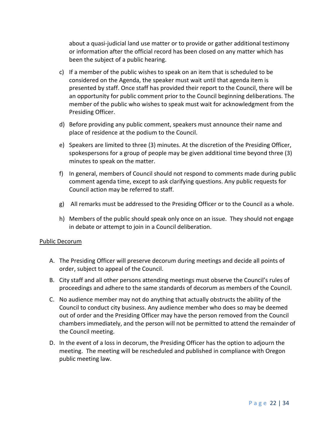about a quasi-judicial land use matter or to provide or gather additional testimony or information after the official record has been closed on any matter which has been the subject of a public hearing.

- c) If a member of the public wishes to speak on an item that is scheduled to be considered on the Agenda, the speaker must wait until that agenda item is presented by staff. Once staff has provided their report to the Council, there will be an opportunity for public comment prior to the Council beginning deliberations. The member of the public who wishes to speak must wait for acknowledgment from the Presiding Officer.
- d) Before providing any public comment, speakers must announce their name and place of residence at the podium to the Council.
- e) Speakers are limited to three (3) minutes. At the discretion of the Presiding Officer, spokespersons for a group of people may be given additional time beyond three (3) minutes to speak on the matter.
- f) In general, members of Council should not respond to comments made during public comment agenda time, except to ask clarifying questions. Any public requests for Council action may be referred to staff.
- g) All remarks must be addressed to the Presiding Officer or to the Council as a whole.
- h) Members of the public should speak only once on an issue. They should not engage in debate or attempt to join in a Council deliberation.

# Public Decorum

- A. The Presiding Officer will preserve decorum during meetings and decide all points of order, subject to appeal of the Council.
- B. City staff and all other persons attending meetings must observe the Council's rules of proceedings and adhere to the same standards of decorum as members of the Council.
- C. No audience member may not do anything that actually obstructs the ability of the Council to conduct city business. Any audience member who does so may be deemed out of order and the Presiding Officer may have the person removed from the Council chambers immediately, and the person will not be permitted to attend the remainder of the Council meeting.
- D. In the event of a loss in decorum, the Presiding Officer has the option to adjourn the meeting. The meeting will be rescheduled and published in compliance with Oregon public meeting law.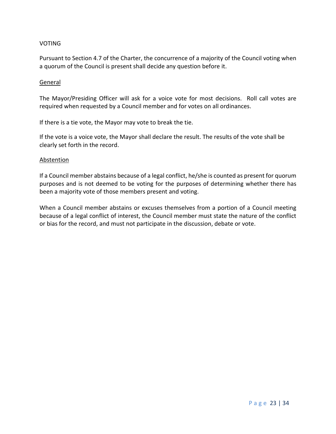### VOTING

Pursuant to Section 4.7 of the Charter, the concurrence of a majority of the Council voting when a quorum of the Council is present shall decide any question before it.

#### General

The Mayor/Presiding Officer will ask for a voice vote for most decisions. Roll call votes are required when requested by a Council member and for votes on all ordinances.

If there is a tie vote, the Mayor may vote to break the tie.

If the vote is a voice vote, the Mayor shall declare the result. The results of the vote shall be clearly set forth in the record.

#### **Abstention**

If a Council member abstains because of a legal conflict, he/she is counted as present for quorum purposes and is not deemed to be voting for the purposes of determining whether there has been a majority vote of those members present and voting.

When a Council member abstains or excuses themselves from a portion of a Council meeting because of a legal conflict of interest, the Council member must state the nature of the conflict or bias for the record, and must not participate in the discussion, debate or vote.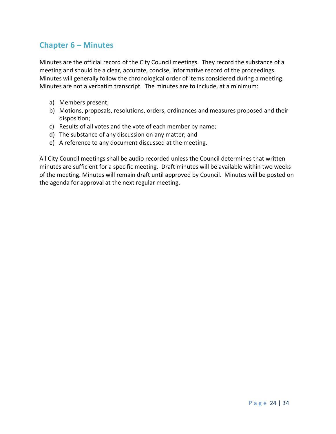# **Chapter 6 – Minutes**

Minutes are the official record of the City Council meetings. They record the substance of a meeting and should be a clear, accurate, concise, informative record of the proceedings. Minutes will generally follow the chronological order of items considered during a meeting. Minutes are not a verbatim transcript. The minutes are to include, at a minimum:

- a) Members present;
- b) Motions, proposals, resolutions, orders, ordinances and measures proposed and their disposition;
- c) Results of all votes and the vote of each member by name;
- d) The substance of any discussion on any matter; and
- e) A reference to any document discussed at the meeting.

All City Council meetings shall be audio recorded unless the Council determines that written minutes are sufficient for a specific meeting. Draft minutes will be available within two weeks of the meeting. Minutes will remain draft until approved by Council. Minutes will be posted on the agenda for approval at the next regular meeting.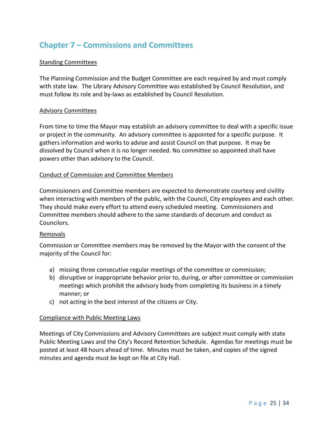# **Chapter 7 – Commissions and Committees**

# Standing Committees

The Planning Commission and the Budget Committee are each required by and must comply with state law. The Library Advisory Committee was established by Council Resolution, and must follow its role and by-laws as established by Council Resolution.

# Advisory Committees

From time to time the Mayor may establish an advisory committee to deal with a specific issue or project in the community. An advisory committee is appointed for a specific purpose. It gathers information and works to advise and assist Council on that purpose. It may be dissolved by Council when it is no longer needed. No committee so appointed shall have powers other than advisory to the Council.

# Conduct of Commission and Committee Members

Commissioners and Committee members are expected to demonstrate courtesy and civility when interacting with members of the public, with the Council, City employees and each other. They should make every effort to attend every scheduled meeting. Commissioners and Committee members should adhere to the same standards of decorum and conduct as Councilors.

# Removals

Commission or Committee members may be removed by the Mayor with the consent of the majority of the Council for:

- a) missing three consecutive regular meetings of the committee or commission;
- b) disruptive or inappropriate behavior prior to, during, or after committee or commission meetings which prohibit the advisory body from completing its business in a timely manner; or
- c) not acting in the best interest of the citizens or City.

# Compliance with Public Meeting Laws

Meetings of City Commissions and Advisory Committees are subject must comply with state Public Meeting Laws and the City's Record Retention Schedule. Agendas for meetings must be posted at least 48 hours ahead of time. Minutes must be taken, and copies of the signed minutes and agenda must be kept on file at City Hall.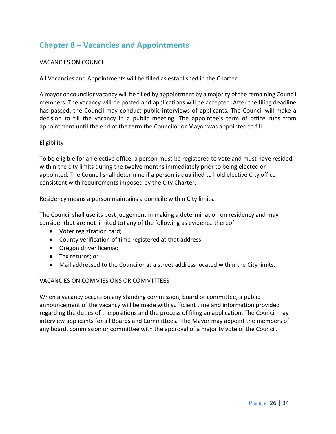# **Chapter 8 – Vacancies and Appointments**

# VACANCIES ON COUNCIL

All Vacancies and Appointments will be filled as established in the Charter.

A mayor or councilor vacancy will be filled by appointment by a majority of the remaining Council members. The vacancy will be posted and applications will be accepted. After the filing deadline has passed, the Council may conduct public interviews of applicants. The Council will make a decision to fill the vacancy in a public meeting. The appointee's term of office runs from appointment until the end of the term the Councilor or Mayor was appointed to fill.

# Eligibility

To be eligible for an elective office, a person must be registered to vote and must have resided within the city limits during the twelve months immediately prior to being elected or appointed. The Council shall determine if a person is qualified to hold elective City office consistent with requirements imposed by the City Charter.

Residency means a person maintains a domicile within City limits.

The Council shall use its best judgement in making a determination on residency and may consider (but are not limited to) any of the following as evidence thereof:

- Voter registration card;
- County verification of time registered at that address;
- Oregon driver license;
- Tax returns; or
- Mail addressed to the Councilor at a street address located within the City limits.

# VACANCIES ON COMMISSIONS OR COMMITTEES

When a vacancy occurs on any standing commission, board or committee, a public announcement of the vacancy will be made with sufficient time and information provided regarding the duties of the positions and the process of filing an application. The Council may interview applicants for all Boards and Committees. The Mayor may appoint the members of any board, commission or committee with the approval of a majority vote of the Council.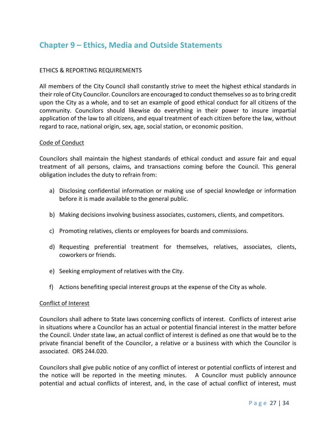# **Chapter 9 – Ethics, Media and Outside Statements**

# ETHICS & REPORTING REQUIREMENTS

All members of the City Council shall constantly strive to meet the highest ethical standards in their role of City Councilor. Councilors are encouraged to conduct themselves so as to bring credit upon the City as a whole, and to set an example of good ethical conduct for all citizens of the community. Councilors should likewise do everything in their power to insure impartial application of the law to all citizens, and equal treatment of each citizen before the law, without regard to race, national origin, sex, age, social station, or economic position.

# Code of Conduct

Councilors shall maintain the highest standards of ethical conduct and assure fair and equal treatment of all persons, claims, and transactions coming before the Council. This general obligation includes the duty to refrain from:

- a) Disclosing confidential information or making use of special knowledge or information before it is made available to the general public.
- b) Making decisions involving business associates, customers, clients, and competitors.
- c) Promoting relatives, clients or employees for boards and commissions.
- d) Requesting preferential treatment for themselves, relatives, associates, clients, coworkers or friends.
- e) Seeking employment of relatives with the City.
- f) Actions benefiting special interest groups at the expense of the City as whole.

#### Conflict of Interest

Councilors shall adhere to State laws concerning conflicts of interest. Conflicts of interest arise in situations where a Councilor has an actual or potential financial interest in the matter before the Council. Under state law, an actual conflict of interest is defined as one that would be to the private financial benefit of the Councilor, a relative or a business with which the Councilor is associated. ORS 244.020.

Councilors shall give public notice of any conflict of interest or potential conflicts of interest and the notice will be reported in the meeting minutes. A Councilor must publicly announce potential and actual conflicts of interest, and, in the case of actual conflict of interest, must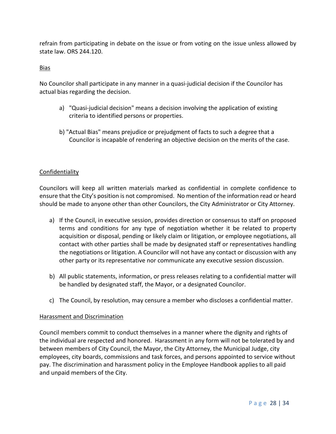refrain from participating in debate on the issue or from voting on the issue unless allowed by state law. ORS 244.120.

# Bias

No Councilor shall participate in any manner in a quasi-judicial decision if the Councilor has actual bias regarding the decision.

- a) "Quasi-judicial decision" means a decision involving the application of existing criteria to identified persons or properties.
- b) "Actual Bias" means prejudice or prejudgment of facts to such a degree that a Councilor is incapable of rendering an objective decision on the merits of the case.

# Confidentiality

Councilors will keep all written materials marked as confidential in complete confidence to ensure that the City's position is not compromised. No mention of the information read or heard should be made to anyone other than other Councilors, the City Administrator or City Attorney.

- a) If the Council, in executive session, provides direction or consensus to staff on proposed terms and conditions for any type of negotiation whether it be related to property acquisition or disposal, pending or likely claim or litigation, or employee negotiations, all contact with other parties shall be made by designated staff or representatives handling the negotiations or litigation. A Councilor will not have any contact or discussion with any other party or its representative nor communicate any executive session discussion.
- b) All public statements, information, or press releases relating to a confidential matter will be handled by designated staff, the Mayor, or a designated Councilor.
- c) The Council, by resolution, may censure a member who discloses a confidential matter.

# Harassment and Discrimination

Council members commit to conduct themselves in a manner where the dignity and rights of the individual are respected and honored. Harassment in any form will not be tolerated by and between members of City Council, the Mayor, the City Attorney, the Municipal Judge, city employees, city boards, commissions and task forces, and persons appointed to service without pay. The discrimination and harassment policy in the Employee Handbook applies to all paid and unpaid members of the City.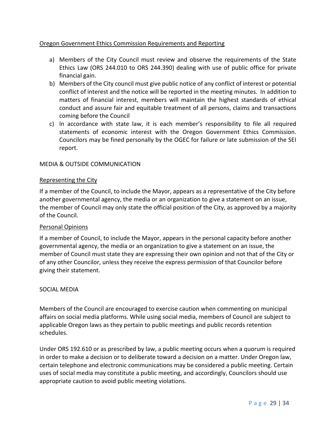# Oregon Government Ethics Commission Requirements and Reporting

- a) Members of the City Council must review and observe the requirements of the State Ethics Law (ORS 244.010 to ORS 244.390) dealing with use of public office for private financial gain.
- b) Members of the City council must give public notice of any conflict of interest or potential conflict of interest and the notice will be reported in the meeting minutes. In addition to matters of financial interest, members will maintain the highest standards of ethical conduct and assure fair and equitable treatment of all persons, claims and transactions coming before the Council
- c) In accordance with state law, it is each member's responsibility to file all required statements of economic interest with the Oregon Government Ethics Commission. Councilors may be fined personally by the OGEC for failure or late submission of the SEI report.

# MEDIA & OUTSIDE COMMUNICATION

# Representing the City

If a member of the Council, to include the Mayor, appears as a representative of the City before another governmental agency, the media or an organization to give a statement on an issue, the member of Council may only state the official position of the City, as approved by a majority of the Council.

# Personal Opinions

If a member of Council, to include the Mayor, appears in the personal capacity before another governmental agency, the media or an organization to give a statement on an issue, the member of Council must state they are expressing their own opinion and not that of the City or of any other Councilor, unless they receive the express permission of that Councilor before giving their statement.

# SOCIAL MEDIA

Members of the Council are encouraged to exercise caution when commenting on municipal affairs on social media platforms. While using social media, members of Council are subject to applicable Oregon laws as they pertain to public meetings and public records retention schedules.

Under ORS 192.610 or as prescribed by law, a public meeting occurs when a quorum is required in order to make a decision or to deliberate toward a decision on a matter. Under Oregon law, certain telephone and electronic communications may be considered a public meeting. Certain uses of social media may constitute a public meeting, and accordingly, Councilors should use appropriate caution to avoid public meeting violations.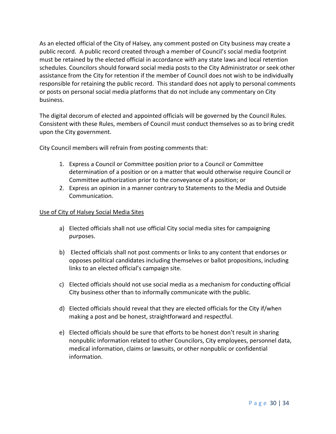As an elected official of the City of Halsey, any comment posted on City business may create a public record. A public record created through a member of Council's social media footprint must be retained by the elected official in accordance with any state laws and local retention schedules. Councilors should forward social media posts to the City Administrator or seek other assistance from the City for retention if the member of Council does not wish to be individually responsible for retaining the public record. This standard does not apply to personal comments or posts on personal social media platforms that do not include any commentary on City business.

The digital decorum of elected and appointed officials will be governed by the Council Rules. Consistent with these Rules, members of Council must conduct themselves so as to bring credit upon the City government.

City Council members will refrain from posting comments that:

- 1. Express a Council or Committee position prior to a Council or Committee determination of a position or on a matter that would otherwise require Council or Committee authorization prior to the conveyance of a position; or
- 2. Express an opinion in a manner contrary to Statements to the Media and Outside Communication.

# Use of City of Halsey Social Media Sites

- a) Elected officials shall not use official City social media sites for campaigning purposes.
- b) Elected officials shall not post comments or links to any content that endorses or opposes political candidates including themselves or ballot propositions, including links to an elected official's campaign site.
- c) Elected officials should not use social media as a mechanism for conducting official City business other than to informally communicate with the public.
- d) Elected officials should reveal that they are elected officials for the City if/when making a post and be honest, straightforward and respectful.
- e) Elected officials should be sure that efforts to be honest don't result in sharing nonpublic information related to other Councilors, City employees, personnel data, medical information, claims or lawsuits, or other nonpublic or confidential information.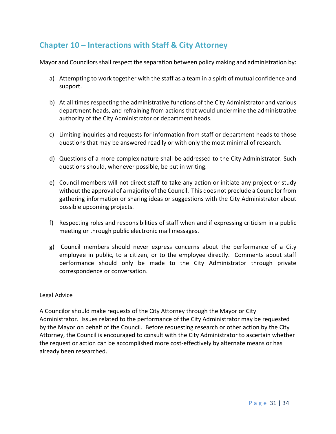# **Chapter 10 – Interactions with Staff & City Attorney**

Mayor and Councilors shall respect the separation between policy making and administration by:

- a) Attempting to work together with the staff as a team in a spirit of mutual confidence and support.
- b) At all times respecting the administrative functions of the City Administrator and various department heads, and refraining from actions that would undermine the administrative authority of the City Administrator or department heads.
- c) Limiting inquiries and requests for information from staff or department heads to those questions that may be answered readily or with only the most minimal of research.
- d) Questions of a more complex nature shall be addressed to the City Administrator. Such questions should, whenever possible, be put in writing.
- e) Council members will not direct staff to take any action or initiate any project or study without the approval of a majority of the Council. This does not preclude a Councilor from gathering information or sharing ideas or suggestions with the City Administrator about possible upcoming projects.
- f) Respecting roles and responsibilities of staff when and if expressing criticism in a public meeting or through public electronic mail messages.
- g) Council members should never express concerns about the performance of a City employee in public, to a citizen, or to the employee directly. Comments about staff performance should only be made to the City Administrator through private correspondence or conversation.

# Legal Advice

A Councilor should make requests of the City Attorney through the Mayor or City Administrator. Issues related to the performance of the City Administrator may be requested by the Mayor on behalf of the Council. Before requesting research or other action by the City Attorney, the Council is encouraged to consult with the City Administrator to ascertain whether the request or action can be accomplished more cost-effectively by alternate means or has already been researched.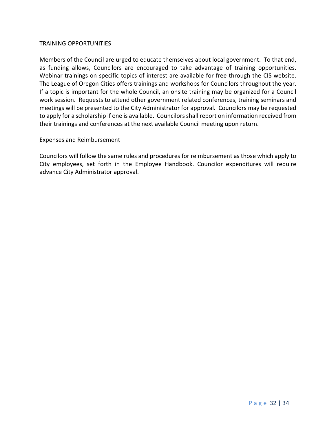### TRAINING OPPORTUNITIES

Members of the Council are urged to educate themselves about local government. To that end, as funding allows, Councilors are encouraged to take advantage of training opportunities. Webinar trainings on specific topics of interest are available for free through the CIS website. The League of Oregon Cities offers trainings and workshops for Councilors throughout the year. If a topic is important for the whole Council, an onsite training may be organized for a Council work session. Requests to attend other government related conferences, training seminars and meetings will be presented to the City Administrator for approval. Councilors may be requested to apply for a scholarship if one is available. Councilors shall report on information received from their trainings and conferences at the next available Council meeting upon return.

#### Expenses and Reimbursement

Councilors will follow the same rules and procedures for reimbursement as those which apply to City employees, set forth in the Employee Handbook. Councilor expenditures will require advance City Administrator approval.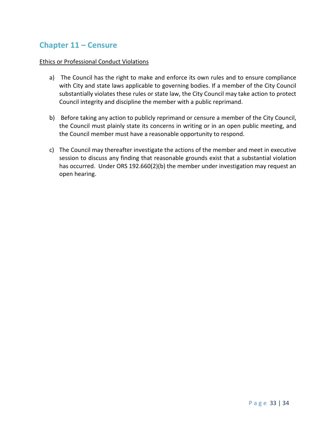# **Chapter 11 – Censure**

# Ethics or Professional Conduct Violations

- a) The Council has the right to make and enforce its own rules and to ensure compliance with City and state laws applicable to governing bodies. If a member of the City Council substantially violates these rules or state law, the City Council may take action to protect Council integrity and discipline the member with a public reprimand.
- b) Before taking any action to publicly reprimand or censure a member of the City Council, the Council must plainly state its concerns in writing or in an open public meeting, and the Council member must have a reasonable opportunity to respond.
- c) The Council may thereafter investigate the actions of the member and meet in executive session to discuss any finding that reasonable grounds exist that a substantial violation has occurred. Under ORS 192.660(2)(b) the member under investigation may request an open hearing.